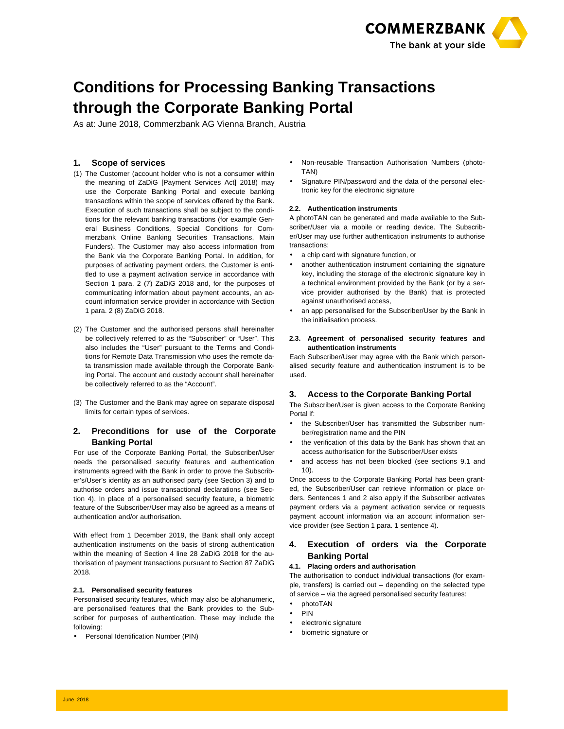

# **Conditions for Processing Banking Transactions through the Corporate Banking Portal**

As at: June 2018, Commerzbank AG Vienna Branch, Austria

# **1. Scope of services**

- (1) The Customer (account holder who is not a consumer within the meaning of ZaDiG [Payment Services Act] 2018) may use the Corporate Banking Portal and execute banking transactions within the scope of services offered by the Bank. Execution of such transactions shall be subject to the conditions for the relevant banking transactions (for example General Business Conditions, Special Conditions for Commerzbank Online Banking Securities Transactions, Main Funders). The Customer may also access information from the Bank via the Corporate Banking Portal. In addition, for purposes of activating payment orders, the Customer is entitled to use a payment activation service in accordance with Section 1 para. 2 (7) ZaDiG 2018 and, for the purposes of communicating information about payment accounts, an account information service provider in accordance with Section 1 para. 2 (8) ZaDiG 2018.
- (2) The Customer and the authorised persons shall hereinafter be collectively referred to as the "Subscriber" or "User". This also includes the "User" pursuant to the Terms and Conditions for Remote Data Transmission who uses the remote data transmission made available through the Corporate Banking Portal. The account and custody account shall hereinafter be collectively referred to as the "Account".
- (3) The Customer and the Bank may agree on separate disposal limits for certain types of services.

# **2. Preconditions for use of the Corporate Banking Portal**

For use of the Corporate Banking Portal, the Subscriber/User needs the personalised security features and authentication instruments agreed with the Bank in order to prove the Subscriber's/User's identity as an authorised party (see Section 3) and to authorise orders and issue transactional declarations (see Section 4). In place of a personalised security feature, a biometric feature of the Subscriber/User may also be agreed as a means of authentication and/or authorisation.

With effect from 1 December 2019, the Bank shall only accept authentication instruments on the basis of strong authentication within the meaning of Section 4 line 28 ZaDiG 2018 for the authorisation of payment transactions pursuant to Section 87 ZaDiG 2018.

## **2.1. Personalised security features**

Personalised security features, which may also be alphanumeric, are personalised features that the Bank provides to the Subscriber for purposes of authentication. These may include the following:

• Personal Identification Number (PIN)

- Non-reusable Transaction Authorisation Numbers (photo-TAN)
- Signature PIN/password and the data of the personal electronic key for the electronic signature

#### **2.2. Authentication instruments**

A photoTAN can be generated and made available to the Subscriber/User via a mobile or reading device. The Subscriber/User may use further authentication instruments to authorise transactions:

- a chip card with signature function, or
- another authentication instrument containing the signature key, including the storage of the electronic signature key in a technical environment provided by the Bank (or by a service provider authorised by the Bank) that is protected against unauthorised access,
- an app personalised for the Subscriber/User by the Bank in the initialisation process.

## **2.3. Agreement of personalised security features and authentication instruments**

Each Subscriber/User may agree with the Bank which personalised security feature and authentication instrument is to be used.

## **3. Access to the Corporate Banking Portal**

The Subscriber/User is given access to the Corporate Banking Portal if:

- the Subscriber/User has transmitted the Subscriber number/registration name and the PIN
- the verification of this data by the Bank has shown that an access authorisation for the Subscriber/User exists
- and access has not been blocked (see sections 9.1 and 10).

Once access to the Corporate Banking Portal has been granted, the Subscriber/User can retrieve information or place orders. Sentences 1 and 2 also apply if the Subscriber activates payment orders via a payment activation service or requests payment account information via an account information service provider (see Section 1 para. 1 sentence 4).

# **4. Execution of orders via the Corporate Banking Portal**

## **4.1. Placing orders and authorisation**

The authorisation to conduct individual transactions (for example, transfers) is carried out – depending on the selected type of service – via the agreed personalised security features:

- photoTAN
- PIN
- electronic signature
- biometric signature or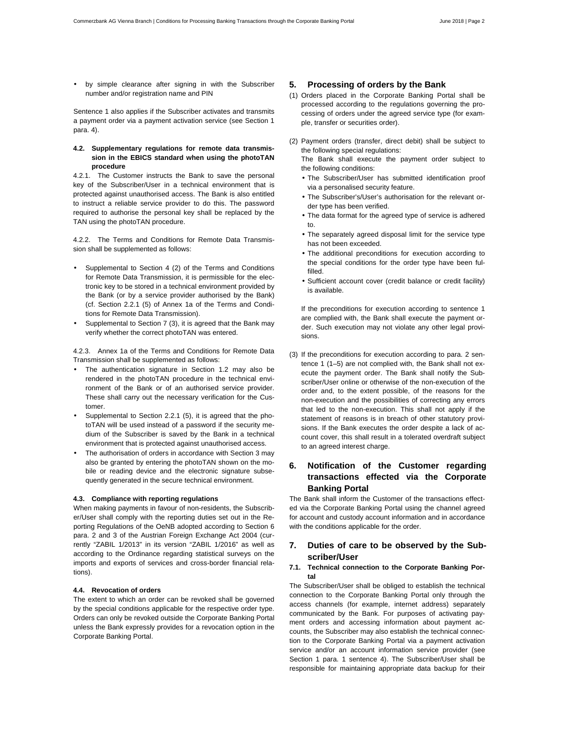• by simple clearance after signing in with the Subscriber number and/or registration name and PIN

Sentence 1 also applies if the Subscriber activates and transmits a payment order via a payment activation service (see Section 1 para. 4).

## **4.2. Supplementary regulations for remote data transmission in the EBICS standard when using the photoTAN procedure**

4.2.1. The Customer instructs the Bank to save the personal key of the Subscriber/User in a technical environment that is protected against unauthorised access. The Bank is also entitled to instruct a reliable service provider to do this. The password required to authorise the personal key shall be replaced by the TAN using the photoTAN procedure.

4.2.2. The Terms and Conditions for Remote Data Transmission shall be supplemented as follows:

- Supplemental to Section 4 (2) of the Terms and Conditions for Remote Data Transmission, it is permissible for the electronic key to be stored in a technical environment provided by the Bank (or by a service provider authorised by the Bank) (cf. Section 2.2.1 (5) of Annex 1a of the Terms and Conditions for Remote Data Transmission).
- Supplemental to Section 7 (3), it is agreed that the Bank may verify whether the correct photoTAN was entered.

4.2.3. Annex 1a of the Terms and Conditions for Remote Data Transmission shall be supplemented as follows:

- The authentication signature in Section 1.2 may also be rendered in the photoTAN procedure in the technical environment of the Bank or of an authorised service provider. These shall carry out the necessary verification for the Customer.
- Supplemental to Section 2.2.1 (5), it is agreed that the photoTAN will be used instead of a password if the security medium of the Subscriber is saved by the Bank in a technical environment that is protected against unauthorised access.
- The authorisation of orders in accordance with Section 3 may also be granted by entering the photoTAN shown on the mobile or reading device and the electronic signature subsequently generated in the secure technical environment.

#### **4.3. Compliance with reporting regulations**

When making payments in favour of non-residents, the Subscriber/User shall comply with the reporting duties set out in the Reporting Regulations of the OeNB adopted according to Section 6 para. 2 and 3 of the Austrian Foreign Exchange Act 2004 (currently "ZABIL 1/2013" in its version "ZABIL 1/2016" as well as according to the Ordinance regarding statistical surveys on the imports and exports of services and cross-border financial relations).

## **4.4. Revocation of orders**

The extent to which an order can be revoked shall be governed by the special conditions applicable for the respective order type. Orders can only be revoked outside the Corporate Banking Portal unless the Bank expressly provides for a revocation option in the Corporate Banking Portal.

## **5. Processing of orders by the Bank**

- (1) Orders placed in the Corporate Banking Portal shall be processed according to the regulations governing the processing of orders under the agreed service type (for example, transfer or securities order).
- (2) Payment orders (transfer, direct debit) shall be subject to the following special regulations:

The Bank shall execute the payment order subject to the following conditions:

- The Subscriber/User has submitted identification proof via a personalised security feature.
- The Subscriber's/User's authorisation for the relevant order type has been verified.
- The data format for the agreed type of service is adhered to.
- The separately agreed disposal limit for the service type has not been exceeded.
- The additional preconditions for execution according to the special conditions for the order type have been fulfilled.
- Sufficient account cover (credit balance or credit facility) is available.

If the preconditions for execution according to sentence 1 are complied with, the Bank shall execute the payment order. Such execution may not violate any other legal provisions.

(3) If the preconditions for execution according to para. 2 sentence 1 (1–5) are not complied with, the Bank shall not execute the payment order. The Bank shall notify the Subscriber/User online or otherwise of the non-execution of the order and, to the extent possible, of the reasons for the non-execution and the possibilities of correcting any errors that led to the non-execution. This shall not apply if the statement of reasons is in breach of other statutory provisions. If the Bank executes the order despite a lack of account cover, this shall result in a tolerated overdraft subject to an agreed interest charge.

# **6. Notification of the Customer regarding transactions effected via the Corporate Banking Portal**

The Bank shall inform the Customer of the transactions effected via the Corporate Banking Portal using the channel agreed for account and custody account information and in accordance with the conditions applicable for the order.

# **7. Duties of care to be observed by the Subscriber/User**

## **7.1. Technical connection to the Corporate Banking Portal**

The Subscriber/User shall be obliged to establish the technical connection to the Corporate Banking Portal only through the access channels (for example, internet address) separately communicated by the Bank. For purposes of activating payment orders and accessing information about payment accounts, the Subscriber may also establish the technical connection to the Corporate Banking Portal via a payment activation service and/or an account information service provider (see Section 1 para. 1 sentence 4). The Subscriber/User shall be responsible for maintaining appropriate data backup for their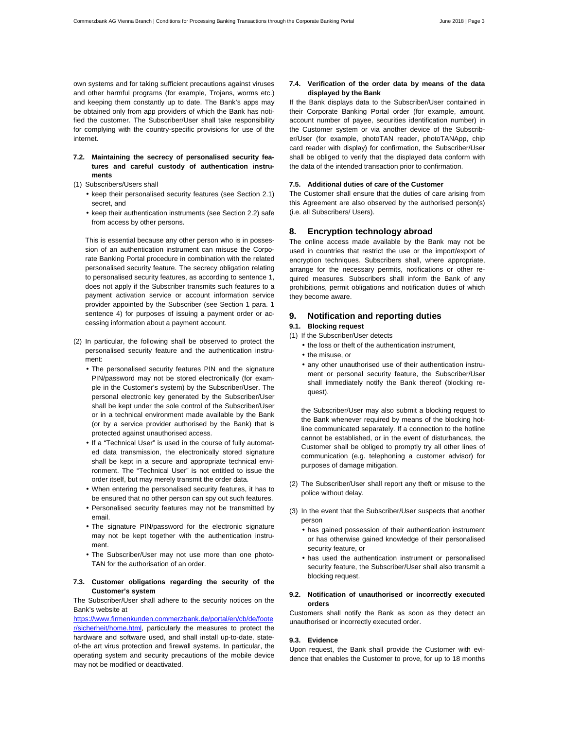own systems and for taking sufficient precautions against viruses and other harmful programs (for example, Trojans, worms etc.) and keeping them constantly up to date. The Bank's apps may be obtained only from app providers of which the Bank has notified the customer. The Subscriber/User shall take responsibility for complying with the country-specific provisions for use of the internet.

- **7.2. Maintaining the secrecy of personalised security features and careful custody of authentication instruments**
- (1) Subscribers/Users shall
	- keep their personalised security features (see Section 2.1) secret, and
	- keep their authentication instruments (see Section 2.2) safe from access by other persons.

This is essential because any other person who is in possession of an authentication instrument can misuse the Corporate Banking Portal procedure in combination with the related personalised security feature. The secrecy obligation relating to personalised security features, as according to sentence 1, does not apply if the Subscriber transmits such features to a payment activation service or account information service provider appointed by the Subscriber (see Section 1 para. 1 sentence 4) for purposes of issuing a payment order or accessing information about a payment account.

- (2) In particular, the following shall be observed to protect the personalised security feature and the authentication instrument:
	- The personalised security features PIN and the signature PIN/password may not be stored electronically (for example in the Customer's system) by the Subscriber/User. The personal electronic key generated by the Subscriber/User shall be kept under the sole control of the Subscriber/User or in a technical environment made available by the Bank (or by a service provider authorised by the Bank) that is protected against unauthorised access.
	- If a "Technical User" is used in the course of fully automated data transmission, the electronically stored signature shall be kept in a secure and appropriate technical environment. The "Technical User" is not entitled to issue the order itself, but may merely transmit the order data.
	- When entering the personalised security features, it has to be ensured that no other person can spy out such features.
	- Personalised security features may not be transmitted by email.
	- The signature PIN/password for the electronic signature may not be kept together with the authentication instrument.
	- The Subscriber/User may not use more than one photo-TAN for the authorisation of an order.

#### **7.3. Customer obligations regarding the security of the Customer's system**

The Subscriber/User shall adhere to the security notices on the Bank's website at

https://www.firmenkunden.commerzbank.de/portal/en/cb/de/foote r/sicherheit/home.html, particularly the measures to protect the hardware and software used, and shall install up-to-date, stateof-the art virus protection and firewall systems. In particular, the operating system and security precautions of the mobile device may not be modified or deactivated.

#### **7.4. Verification of the order data by means of the data displayed by the Bank**

If the Bank displays data to the Subscriber/User contained in their Corporate Banking Portal order (for example, amount, account number of payee, securities identification number) in the Customer system or via another device of the Subscriber/User (for example, photoTAN reader, photoTANApp, chip card reader with display) for confirmation, the Subscriber/User shall be obliged to verify that the displayed data conform with the data of the intended transaction prior to confirmation.

#### **7.5. Additional duties of care of the Customer**

The Customer shall ensure that the duties of care arising from this Agreement are also observed by the authorised person(s) (i.e. all Subscribers/ Users).

#### **8. Encryption technology abroad**

The online access made available by the Bank may not be used in countries that restrict the use or the import/export of encryption techniques. Subscribers shall, where appropriate, arrange for the necessary permits, notifications or other required measures. Subscribers shall inform the Bank of any prohibitions, permit obligations and notification duties of which they become aware.

## **9. Notification and reporting duties**

# **9.1. Blocking request**

(1) If the Subscriber/User detects

- the loss or theft of the authentication instrument,
- the misuse, or
- any other unauthorised use of their authentication instrument or personal security feature, the Subscriber/User shall immediately notify the Bank thereof (blocking request).

the Subscriber/User may also submit a blocking request to the Bank whenever required by means of the blocking hotline communicated separately. If a connection to the hotline cannot be established, or in the event of disturbances, the Customer shall be obliged to promptly try all other lines of communication (e.g. telephoning a customer advisor) for purposes of damage mitigation.

- (2) The Subscriber/User shall report any theft or misuse to the police without delay.
- (3) In the event that the Subscriber/User suspects that another person
	- has gained possession of their authentication instrument or has otherwise gained knowledge of their personalised security feature, or
	- has used the authentication instrument or personalised security feature, the Subscriber/User shall also transmit a blocking request.

#### **9.2. Notification of unauthorised or incorrectly executed orders**

Customers shall notify the Bank as soon as they detect an unauthorised or incorrectly executed order.

#### **9.3. Evidence**

Upon request, the Bank shall provide the Customer with evidence that enables the Customer to prove, for up to 18 months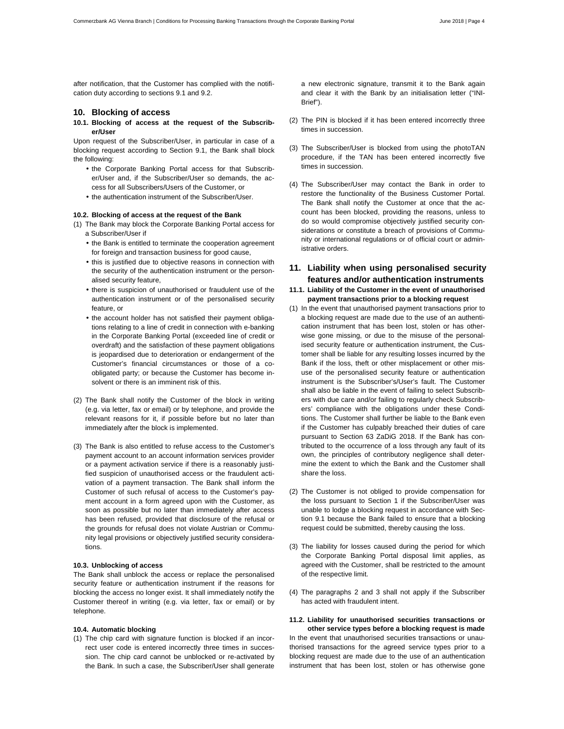after notification, that the Customer has complied with the notification duty according to sections 9.1 and 9.2.

# **10. Blocking of access**

**10.1. Blocking of access at the request of the Subscriber/User** 

Upon request of the Subscriber/User, in particular in case of a blocking request according to Section 9.1, the Bank shall block the following:

- the Corporate Banking Portal access for that Subscriber/User and, if the Subscriber/User so demands, the access for all Subscribers/Users of the Customer, or
- the authentication instrument of the Subscriber/User.

#### **10.2. Blocking of access at the request of the Bank**

(1) The Bank may block the Corporate Banking Portal access for a Subscriber/User if

- the Bank is entitled to terminate the cooperation agreement for foreign and transaction business for good cause,
- this is justified due to objective reasons in connection with the security of the authentication instrument or the personalised security feature,
- there is suspicion of unauthorised or fraudulent use of the authentication instrument or of the personalised security feature, or
- the account holder has not satisfied their payment obligations relating to a line of credit in connection with e-banking in the Corporate Banking Portal (exceeded line of credit or overdraft) and the satisfaction of these payment obligations is jeopardised due to deterioration or endangerment of the Customer's financial circumstances or those of a coobligated party; or because the Customer has become insolvent or there is an imminent risk of this.
- (2) The Bank shall notify the Customer of the block in writing (e.g. via letter, fax or email) or by telephone, and provide the relevant reasons for it, if possible before but no later than immediately after the block is implemented.
- (3) The Bank is also entitled to refuse access to the Customer's payment account to an account information services provider or a payment activation service if there is a reasonably justified suspicion of unauthorised access or the fraudulent activation of a payment transaction. The Bank shall inform the Customer of such refusal of access to the Customer's payment account in a form agreed upon with the Customer, as soon as possible but no later than immediately after access has been refused, provided that disclosure of the refusal or the grounds for refusal does not violate Austrian or Community legal provisions or objectively justified security considerations.

#### **10.3. Unblocking of access**

The Bank shall unblock the access or replace the personalised security feature or authentication instrument if the reasons for blocking the access no longer exist. It shall immediately notify the Customer thereof in writing (e.g. via letter, fax or email) or by telephone.

#### **10.4. Automatic blocking**

(1) The chip card with signature function is blocked if an incorrect user code is entered incorrectly three times in succession. The chip card cannot be unblocked or re-activated by the Bank. In such a case, the Subscriber/User shall generate a new electronic signature, transmit it to the Bank again and clear it with the Bank by an initialisation letter ("INI-Brief").

- (2) The PIN is blocked if it has been entered incorrectly three times in succession.
- (3) The Subscriber/User is blocked from using the photoTAN procedure, if the TAN has been entered incorrectly five times in succession.
- (4) The Subscriber/User may contact the Bank in order to restore the functionality of the Business Customer Portal. The Bank shall notify the Customer at once that the account has been blocked, providing the reasons, unless to do so would compromise objectively justified security considerations or constitute a breach of provisions of Community or international regulations or of official court or administrative orders.

# **11. Liability when using personalised security features and/or authentication instruments**

- **11.1. Liability of the Customer in the event of unauthorised payment transactions prior to a blocking request**
- (1) In the event that unauthorised payment transactions prior to a blocking request are made due to the use of an authentication instrument that has been lost, stolen or has otherwise gone missing, or due to the misuse of the personalised security feature or authentication instrument, the Customer shall be liable for any resulting losses incurred by the Bank if the loss, theft or other misplacement or other misuse of the personalised security feature or authentication instrument is the Subscriber's/User's fault. The Customer shall also be liable in the event of failing to select Subscribers with due care and/or failing to regularly check Subscribers' compliance with the obligations under these Conditions. The Customer shall further be liable to the Bank even if the Customer has culpably breached their duties of care pursuant to Section 63 ZaDiG 2018. If the Bank has contributed to the occurrence of a loss through any fault of its own, the principles of contributory negligence shall determine the extent to which the Bank and the Customer shall share the loss.
- (2) The Customer is not obliged to provide compensation for the loss pursuant to Section 1 if the Subscriber/User was unable to lodge a blocking request in accordance with Section 9.1 because the Bank failed to ensure that a blocking request could be submitted, thereby causing the loss.
- (3) The liability for losses caused during the period for which the Corporate Banking Portal disposal limit applies, as agreed with the Customer, shall be restricted to the amount of the respective limit.
- (4) The paragraphs 2 and 3 shall not apply if the Subscriber has acted with fraudulent intent.

#### **11.2. Liability for unauthorised securities transactions or other service types before a blocking request is made**

In the event that unauthorised securities transactions or unauthorised transactions for the agreed service types prior to a blocking request are made due to the use of an authentication instrument that has been lost, stolen or has otherwise gone